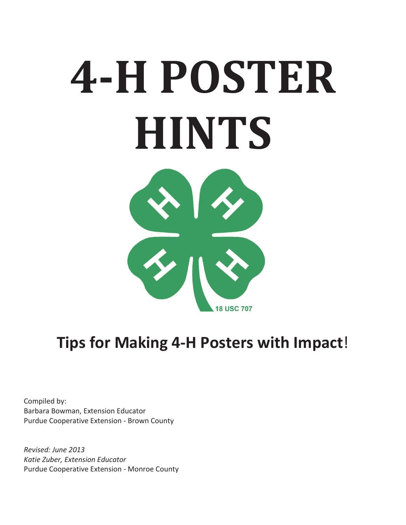# **4-H POSTER HINTS**



## **Tips for Making 4-H Posters with Impact**!

Compiled by: Barbara Bowman, Extension Educator Purdue Cooperative Extension - Brown County

*Revised: June 2013 Katie Zuber, Extension Educator*  Purdue Cooperative Extension - Monroe County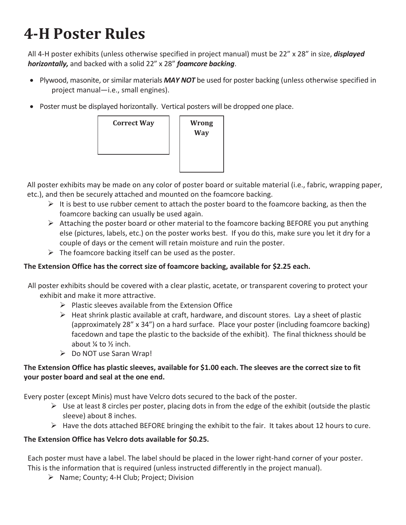## **4-H Poster Rules**

All 4-H poster exhibits (unless otherwise specified in project manual) must be 22" x 28" in size, *displayed horizontally,* and backed with a solid 22" x 28" *foamcore backing*.

- Plywood, masonite, or similar materials **MAY NOT** be used for poster backing (unless otherwise specified in project manual—i.e., small engines).
- Poster must be displayed horizontally. Vertical posters will be dropped one place.



All poster exhibits may be made on any color of poster board or suitable material (i.e., fabric, wrapping paper, etc.), and then be securely attached and mounted on the foamcore backing.

- $\triangleright$  It is best to use rubber cement to attach the poster board to the foamcore backing, as then the foamcore backing can usually be used again.
- $\triangleright$  Attaching the poster board or other material to the foamcore backing BEFORE you put anything else (pictures, labels, etc.) on the poster works best. If you do this, make sure you let it dry for a couple of days or the cement will retain moisture and ruin the poster.
- $\triangleright$  The foamcore backing itself can be used as the poster.

#### **The Extension Office has the correct size of foamcore backing, available for \$2.25 each.**

All poster exhibits should be covered with a clear plastic, acetate, or transparent covering to protect your exhibit and make it more attractive.

- $\triangleright$  Plastic sleeves available from the Extension Office
- $\triangleright$  Heat shrink plastic available at craft, hardware, and discount stores. Lay a sheet of plastic (approximately 28" x 34") on a hard surface. Place your poster (including foamcore backing) facedown and tape the plastic to the backside of the exhibit). The final thickness should be about ¼ to ½ inch.
- $\triangleright$  Do NOT use Saran Wrap!

#### **The Extension Office has plastic sleeves, available for \$1.00 each. The sleeves are the correct size to fit your poster board and seal at the one end.**

Every poster (except Minis) must have Velcro dots secured to the back of the poster.

- $\triangleright$  Use at least 8 circles per poster, placing dots in from the edge of the exhibit (outside the plastic sleeve) about 8 inches.
- $\triangleright$  Have the dots attached BEFORE bringing the exhibit to the fair. It takes about 12 hours to cure.

#### **The Extension Office has Velcro dots available for \$0.25.**

Each poster must have a label. The label should be placed in the lower right-hand corner of your poster. This is the information that is required (unless instructed differently in the project manual).

 $\triangleright$  Name; County; 4-H Club; Project; Division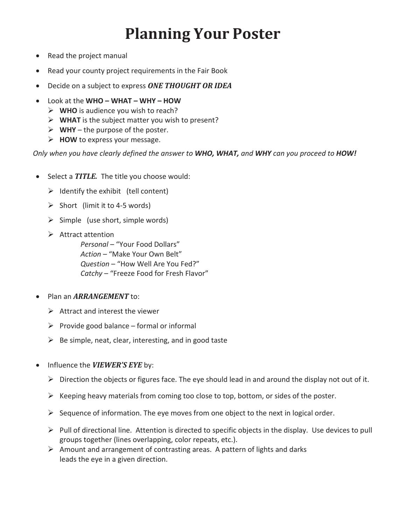## **Planning Your Poster**

- $\bullet$  Read the project manual
- Read your county project requirements in the Fair Book
- x Decide on a subject to express *ONE THOUGHT OR IDEA*
- x Look at the **WHO WHAT WHY HOW**
	- ¾ **WHO** is audience you wish to reach?
	- ¾ **WHAT** is the subject matter you wish to present?
	- $\triangleright$  **WHY** the purpose of the poster.
	- ¾ **HOW** to express your message.

*Only when you have clearly defined the answer to WHO, WHAT, and WHY can you proceed to HOW!*

- Select a **TITLE**. The title you choose would:
	- $\triangleright$  Identify the exhibit (tell content)
	- $\triangleright$  Short (limit it to 4-5 words)
	- $\triangleright$  Simple (use short, simple words)
	- $\triangleright$  Attract attention

Personal - "Your Food Dollars" *Action* – "Make Your Own Belt" *Question* – "How Well Are You Fed?" *Catchy* – "Freeze Food for Fresh Flavor"

- x Plan an *ARRANGEMENT* to:
	- $\triangleright$  Attract and interest the viewer
	- $\triangleright$  Provide good balance formal or informal
	- $\triangleright$  Be simple, neat, clear, interesting, and in good taste
- Influence the **VIEWER'S EYE** by:
	- $\triangleright$  Direction the objects or figures face. The eye should lead in and around the display not out of it.
	- $\triangleright$  Keeping heavy materials from coming too close to top, bottom, or sides of the poster.
	- $\triangleright$  Sequence of information. The eye moves from one object to the next in logical order.
	- $\triangleright$  Pull of directional line. Attention is directed to specific objects in the display. Use devices to pull groups together (lines overlapping, color repeats, etc.).
	- $\triangleright$  Amount and arrangement of contrasting areas. A pattern of lights and darks leads the eye in a given direction.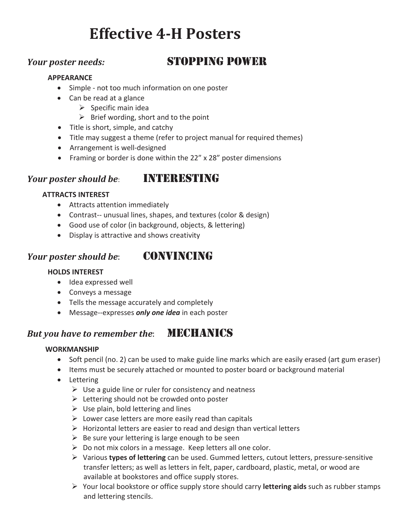## **Effective 4-H Posters**

#### *Your poster needs:*

#### **APPEARANCE**

- Simple not too much information on one poster
- $\bullet$  Can be read at a glance
	- $\triangleright$  Specific main idea
	- $\triangleright$  Brief wording, short and to the point
- $\bullet$  Title is short, simple, and catchy
- Title may suggest a theme (refer to project manual for required themes)
- Arrangement is well-designed
- Framing or border is done within the 22" x 28" poster dimensions

#### *Your poster should be*:

#### **ATTRACTS INTEREST**

- Attracts attention immediately
- Contrast-- unusual lines, shapes, and textures (color & design)
- Good use of color (in background, objects, & lettering)
- Display is attractive and shows creativity

#### *Your poster should be*:

#### **HOLDS INTEREST**

- Idea expressed well
- $\bullet$  Conveys a message
- Tells the message accurately and completely
- **•** Message--expresses *only one idea* in each poster

#### *But you have to remember the*:

#### **WORKMANSHIP**

- Soft pencil (no. 2) can be used to make guide line marks which are easily erased (art gum eraser)
- Items must be securely attached or mounted to poster board or background material
- Lettering
	- $\triangleright$  Use a guide line or ruler for consistency and neatness
	- $\triangleright$  Lettering should not be crowded onto poster
	- $\triangleright$  Use plain, bold lettering and lines
	- $\triangleright$  Lower case letters are more easily read than capitals
	- $\triangleright$  Horizontal letters are easier to read and design than vertical letters
	- $\triangleright$  Be sure your lettering is large enough to be seen
	- $\triangleright$  Do not mix colors in a message. Keep letters all one color.
	- ¾ Various **types of lettering** can be used. Gummed letters, cutout letters, pressure-sensitive transfer letters; as well as letters in felt, paper, cardboard, plastic, metal, or wood are available at bookstores and office supply stores.
	- ¾ Your local bookstore or office supply store should carry **lettering aids** such as rubber stamps and lettering stencils.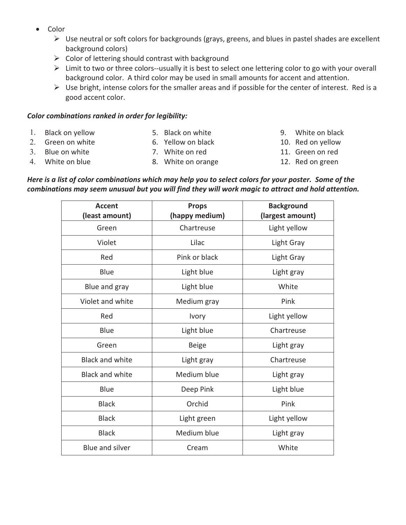- Color
	- $\triangleright$  Use neutral or soft colors for backgrounds (grays, greens, and blues in pastel shades are excellent background colors)
	- $\triangleright$  Color of lettering should contrast with background
	- $\triangleright$  Limit to two or three colors--usually it is best to select one lettering color to go with your overall background color. A third color may be used in small amounts for accent and attention.
	- $\triangleright$  Use bright, intense colors for the smaller areas and if possible for the center of interest. Red is a good accent color.

#### *Color combinations ranked in order for legibility:*

- 1. Black on yellow 5. Black on white 5. 9. White on black
- 
- 2. Green on white 6. Yellow on black 10. Red on yellow
- 
- 3. Blue on white 7. White on red 11. Green on red
- 4. White on blue **8.** White on orange 12. Red on green
- 
- 
- 
- 
- 

| <b>Accent</b><br>(least amount) | <b>Props</b><br>(happy medium) | <b>Background</b><br>(largest amount) |
|---------------------------------|--------------------------------|---------------------------------------|
| Green                           | Chartreuse                     | Light yellow                          |
| Violet                          | Lilac                          | Light Gray                            |
| Red                             | Pink or black                  | Light Gray                            |
| Blue                            | Light blue                     | Light gray                            |
| Blue and gray                   | Light blue                     | White                                 |
| Violet and white                | Medium gray                    | Pink                                  |
| Red                             | Ivory                          | Light yellow                          |
| Blue                            | Light blue                     | Chartreuse                            |
| Green                           | <b>Beige</b>                   | Light gray                            |
| Black and white                 | Light gray                     | Chartreuse                            |
| <b>Black and white</b>          | Medium blue                    | Light gray                            |
| Blue                            | Deep Pink                      | Light blue                            |
| <b>Black</b>                    | Orchid                         | Pink                                  |
| <b>Black</b>                    | Light green                    | Light yellow                          |
|                                 |                                |                                       |

Black | Medium blue | Light gray

Blue and silver Cream White

*Here is a list of color combinations which may help you to select colors for your poster. Some of the combinations may seem unusual but you will find they will work magic to attract and hold attention.*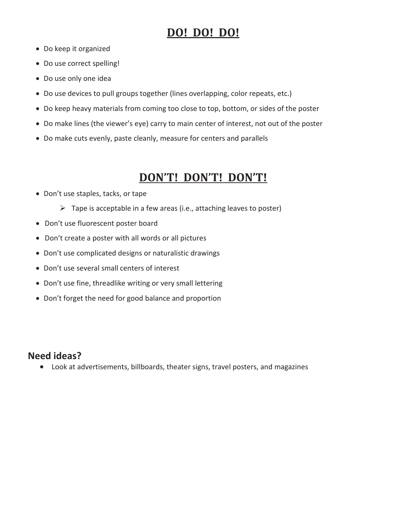### **DO! DO! DO!**

- Do keep it organized
- Do use correct spelling!
- Do use only one idea
- Do use devices to pull groups together (lines overlapping, color repeats, etc.)
- Do keep heavy materials from coming too close to top, bottom, or sides of the poster
- Do make lines (the viewer's eye) carry to main center of interest, not out of the poster
- Do make cuts evenly, paste cleanly, measure for centers and parallels

#### **DON'T! DON'T! DON'T!**

- Don't use staples, tacks, or tape
	- $\triangleright$  Tape is acceptable in a few areas (i.e., attaching leaves to poster)
- Don't use fluorescent poster board
- Don't create a poster with all words or all pictures
- Don't use complicated designs or naturalistic drawings
- Don't use several small centers of interest
- Don't use fine, threadlike writing or very small lettering
- Don't forget the need for good balance and proportion

#### **Need ideas?**

• Look at advertisements, billboards, theater signs, travel posters, and magazines